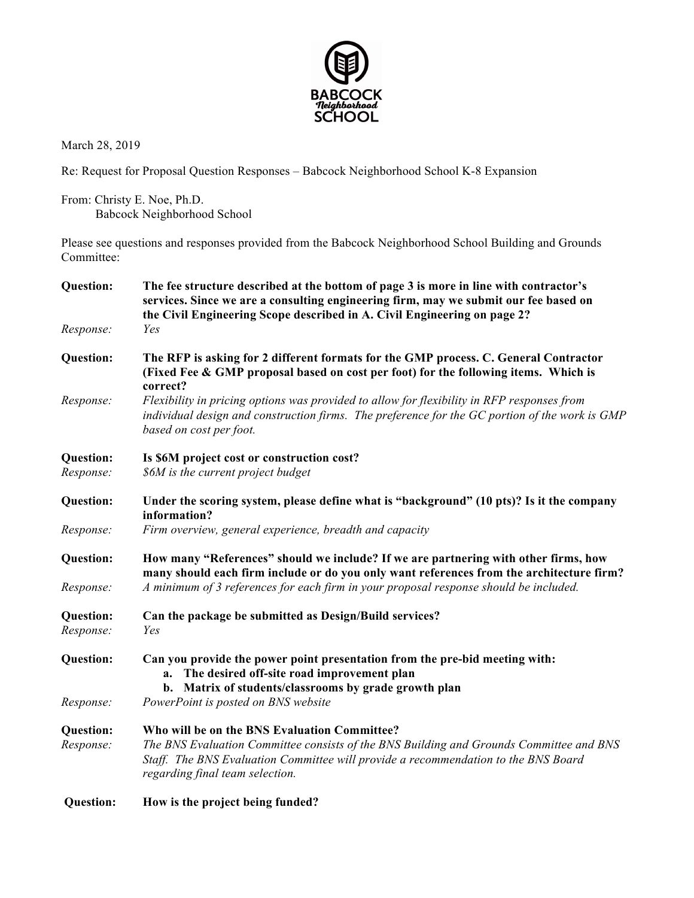

March 28, 2019

Re: Request for Proposal Question Responses – Babcock Neighborhood School K-8 Expansion

From: Christy E. Noe, Ph.D. Babcock Neighborhood School

Please see questions and responses provided from the Babcock Neighborhood School Building and Grounds Committee:

| <b>Question:</b> | The fee structure described at the bottom of page 3 is more in line with contractor's<br>services. Since we are a consulting engineering firm, may we submit our fee based on<br>the Civil Engineering Scope described in A. Civil Engineering on page 2? |
|------------------|-----------------------------------------------------------------------------------------------------------------------------------------------------------------------------------------------------------------------------------------------------------|
| Response:        | Yes                                                                                                                                                                                                                                                       |
| <b>Question:</b> | The RFP is asking for 2 different formats for the GMP process. C. General Contractor<br>(Fixed Fee & GMP proposal based on cost per foot) for the following items. Which is<br>correct?                                                                   |
| Response:        | Flexibility in pricing options was provided to allow for flexibility in RFP responses from<br>individual design and construction firms. The preference for the GC portion of the work is GMP<br>based on cost per foot.                                   |
| <b>Question:</b> | Is \$6M project cost or construction cost?                                                                                                                                                                                                                |
| Response:        | \$6M is the current project budget                                                                                                                                                                                                                        |
| <b>Question:</b> | Under the scoring system, please define what is "background" (10 pts)? Is it the company<br>information?                                                                                                                                                  |
| Response:        | Firm overview, general experience, breadth and capacity                                                                                                                                                                                                   |
| <b>Question:</b> | How many "References" should we include? If we are partnering with other firms, how<br>many should each firm include or do you only want references from the architecture firm?                                                                           |
| Response:        | A minimum of 3 references for each firm in your proposal response should be included.                                                                                                                                                                     |
| <b>Question:</b> | Can the package be submitted as Design/Build services?                                                                                                                                                                                                    |
| Response:        | Yes                                                                                                                                                                                                                                                       |
| <b>Question:</b> | Can you provide the power point presentation from the pre-bid meeting with:<br>The desired off-site road improvement plan<br>a.<br>Matrix of students/classrooms by grade growth plan<br>b.                                                               |
| Response:        | PowerPoint is posted on BNS website                                                                                                                                                                                                                       |
| <b>Question:</b> | Who will be on the BNS Evaluation Committee?                                                                                                                                                                                                              |
| Response:        | The BNS Evaluation Committee consists of the BNS Building and Grounds Committee and BNS<br>Staff. The BNS Evaluation Committee will provide a recommendation to the BNS Board<br>regarding final team selection.                                          |
| Question:        | How is the project being funded?                                                                                                                                                                                                                          |